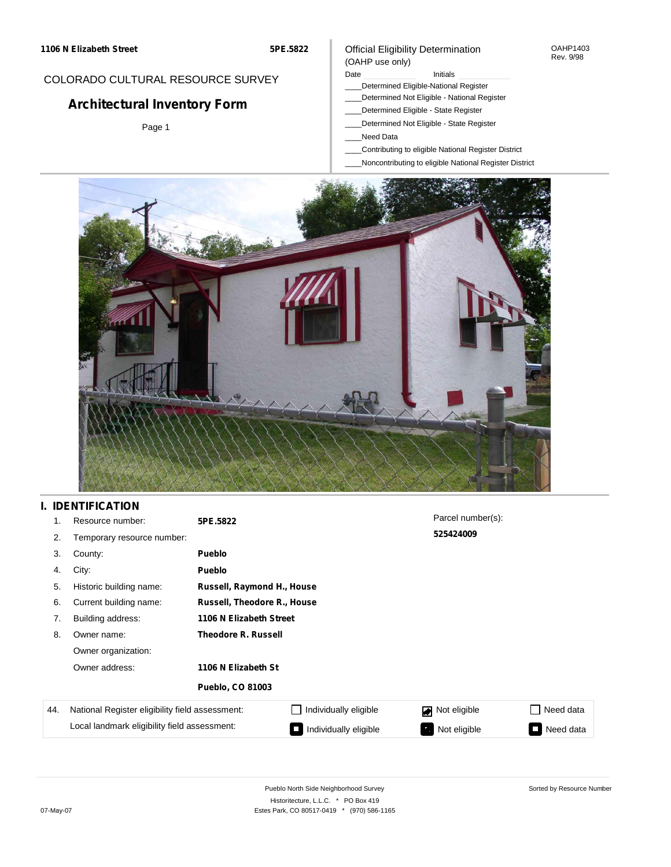### COLORADO CULTURAL RESOURCE SURVEY

# **Architectural Inventory Form**

Page 1

#### Official Eligibility Determination (OAHP use only)

#### Date **Initials** Initials

- \_\_\_\_Determined Eligible-National Register
- \_\_\_\_Determined Not Eligible National Register
- \_\_\_\_Determined Eligible State Register
- \_\_\_\_Determined Not Eligible State Register
- \_\_\_\_Need Data
- \_\_\_\_Contributing to eligible National Register District
- \_\_\_\_Noncontributing to eligible National Register District



### **I. IDENTIFICATION**

| 1.  | Resource number:                                | 5PE.5822                    |                            | Parcel number(s):              |                     |  |
|-----|-------------------------------------------------|-----------------------------|----------------------------|--------------------------------|---------------------|--|
| 2.  | Temporary resource number:                      |                             |                            | 525424009                      |                     |  |
| 3.  | County:                                         | <b>Pueblo</b>               |                            |                                |                     |  |
| 4.  | City:                                           | <b>Pueblo</b>               |                            |                                |                     |  |
| 5.  | Historic building name:                         |                             | Russell, Raymond H., House |                                |                     |  |
| 6.  | Current building name:                          | Russell, Theodore R., House |                            |                                |                     |  |
| 7.  | Building address:                               | 1106 N Elizabeth Street     |                            |                                |                     |  |
| 8.  | Owner name:                                     | <b>Theodore R. Russell</b>  |                            |                                |                     |  |
|     | Owner organization:                             |                             |                            |                                |                     |  |
|     | Owner address:                                  | 1106 N Elizabeth St         |                            |                                |                     |  |
|     |                                                 | <b>Pueblo, CO 81003</b>     |                            |                                |                     |  |
| 44. | National Register eligibility field assessment: |                             | Individually eligible      | Not eligible<br>$\blacksquare$ | □ Need data         |  |
|     | Local landmark eligibility field assessment:    |                             | Individually eligible      | Not eligible                   | Need data<br>$\Box$ |  |

OAHP1403 Rev. 9/98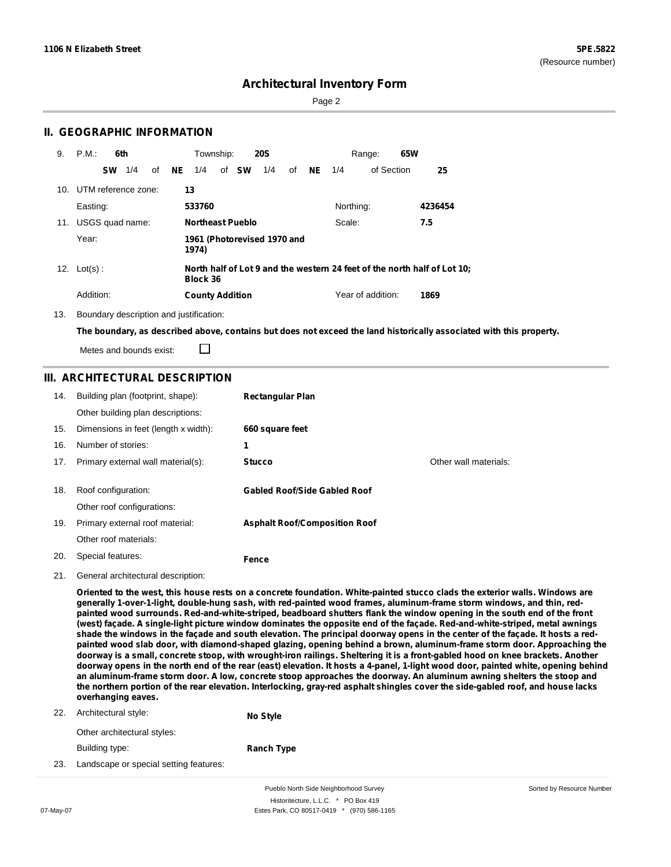Sorted by Resource Number

### **Architectural Inventory Form**

Page 2

### **II. GEOGRAPHIC INFORMATION**

| 9.  | P.M.                    |           | 6th |    |           | Township:               |              | <b>20S</b>                  |    |     |           | 65W<br>Range:     |                                                                          |
|-----|-------------------------|-----------|-----|----|-----------|-------------------------|--------------|-----------------------------|----|-----|-----------|-------------------|--------------------------------------------------------------------------|
|     |                         | <b>SW</b> | 1/4 | of | <b>NE</b> | 1/4                     | of <b>SW</b> | 1/4                         | of | NE. | 1/4       | of Section        | 25                                                                       |
|     | 10. UTM reference zone: |           |     |    |           | 13                      |              |                             |    |     |           |                   |                                                                          |
|     | Easting:                |           |     |    |           | 533760                  |              |                             |    |     | Northing: |                   | 4236454                                                                  |
| 11. | USGS quad name:         |           |     |    |           | <b>Northeast Pueblo</b> |              |                             |    |     | Scale:    |                   | 7.5                                                                      |
|     | Year:                   |           |     |    |           | 1974)                   |              | 1961 (Photorevised 1970 and |    |     |           |                   |                                                                          |
|     | 12. $Lot(s)$ :          |           |     |    |           | Block 36                |              |                             |    |     |           |                   | North half of Lot 9 and the western 24 feet of the north half of Lot 10; |
|     | Addition:               |           |     |    |           | <b>County Addition</b>  |              |                             |    |     |           | Year of addition: | 1869                                                                     |

13. Boundary description and justification:

□

The boundary, as described above, contains but does not exceed the land historically associated with this property.

Metes and bounds exist:

### **III. ARCHITECTURAL DESCRIPTION**

| 14. | Building plan (footprint, shape):    | <b>Rectangular Plan</b>              |                       |
|-----|--------------------------------------|--------------------------------------|-----------------------|
|     | Other building plan descriptions:    |                                      |                       |
| 15. | Dimensions in feet (length x width): | 660 square feet                      |                       |
| 16. | Number of stories:                   | 1                                    |                       |
| 17. | Primary external wall material(s):   | <b>Stucco</b>                        | Other wall materials: |
|     |                                      |                                      |                       |
| 18. | Roof configuration:                  | <b>Gabled Roof/Side Gabled Roof</b>  |                       |
|     | Other roof configurations:           |                                      |                       |
| 19. | Primary external roof material:      | <b>Asphalt Roof/Composition Roof</b> |                       |
|     | Other roof materials:                |                                      |                       |
| 20. | Special features:                    | Fence                                |                       |

21. General architectural description:

Oriented to the west, this house rests on a concrete foundation. White-painted stucco clads the exterior walls. Windows are **generally 1-over-1-light, double-hung sash, with red-painted wood frames, aluminum-frame storm windows, and thin, red**painted wood surrounds. Red-and-white-striped, beadboard shutters flank the window opening in the south end of the front (west) façade. A single-light picture window dominates the opposite end of the façade. Red-and-white-striped, metal awnings shade the windows in the facade and south elevation. The principal doorway opens in the center of the facade. It hosts a redpainted wood slab door, with diamond-shaped glazing, opening behind a brown, aluminum-frame storm door. Approaching the doorway is a small, concrete stoop, with wrought-iron railings. Sheltering it is a front-gabled hood on knee brackets. Another doorway opens in the north end of the rear (east) elevation. It hosts a 4-panel, 1-light wood door, painted white, opening behind an aluminum-frame storm door. A low, concrete stoop approaches the doorway. An aluminum awning shelters the stoop and the northern portion of the rear elevation. Interlocking, gray-red asphalt shingles cover the side-gabled roof, and house lacks **overhanging eaves.**

| 22. | Architectural style:        | No Style          |  |
|-----|-----------------------------|-------------------|--|
|     | Other architectural styles: |                   |  |
|     | Building type:              | <b>Ranch Type</b> |  |

23. Landscape or special setting features:

Pueblo North Side Neighborhood Survey Historitecture, L.L.C. \* PO Box 419 07-May-07 **Estes Park, CO 80517-0419** \* (970) 586-1165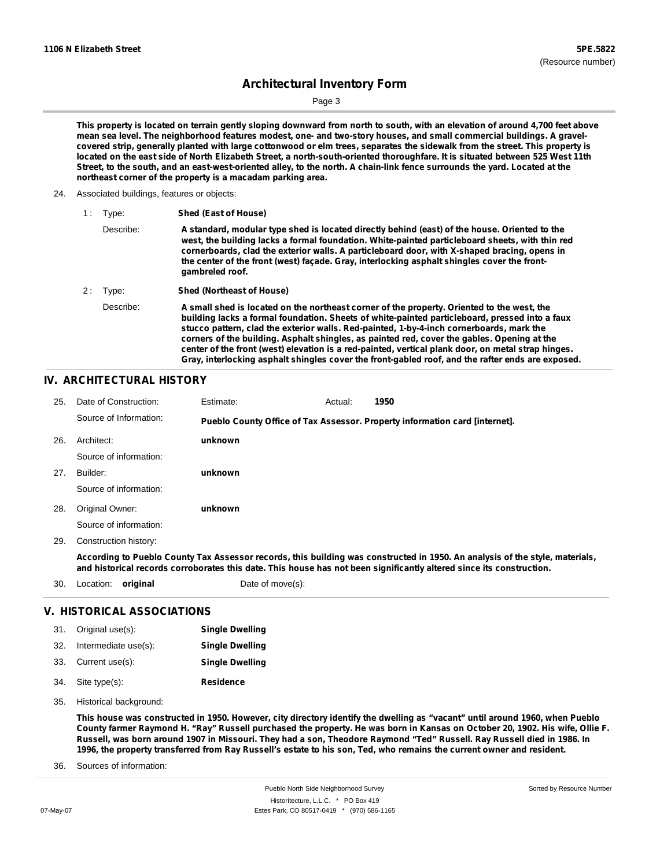Sorted by Resource Number

# **Architectural Inventory Form**

Page 3

This property is located on terrain gently sloping downward from north to south, with an elevation of around 4,700 feet above mean sea level. The neighborhood features modest, one- and two-story houses, and small commercial buildings. A gravelcovered strip, generally planted with large cottonwood or elm trees, separates the sidewalk from the street. This property is located on the east side of North Elizabeth Street, a north-south-oriented thoroughfare. It is situated between 525 West 11th Street, to the south, and an east-west-oriented alley, to the north. A chain-link fence surrounds the yard. Located at the **northeast corner of the property is a macadam parking area.**

24. Associated buildings, features or objects:

| 1 :   | Type:     | Shed (East of House)                                                                                                                                                                                                                                                                                                                                                                                                                                                                                                                                                                               |
|-------|-----------|----------------------------------------------------------------------------------------------------------------------------------------------------------------------------------------------------------------------------------------------------------------------------------------------------------------------------------------------------------------------------------------------------------------------------------------------------------------------------------------------------------------------------------------------------------------------------------------------------|
|       | Describe: | A standard, modular type shed is located directly behind (east) of the house. Oriented to the<br>west, the building lacks a formal foundation. White-painted particleboard sheets, with thin red<br>cornerboards, clad the exterior walls. A particleboard door, with X-shaped bracing, opens in<br>the center of the front (west) facade. Gray, interlocking asphalt shingles cover the front-<br>gambreled roof.                                                                                                                                                                                 |
| 2 : 1 | Type:     | <b>Shed (Northeast of House)</b>                                                                                                                                                                                                                                                                                                                                                                                                                                                                                                                                                                   |
|       | Describe: | A small shed is located on the northeast corner of the property. Oriented to the west, the<br>building lacks a formal foundation. Sheets of white-painted particleboard, pressed into a faux<br>stucco pattern, clad the exterior walls. Red-painted, 1-by-4-inch cornerboards, mark the<br>corners of the building. Asphalt shingles, as painted red, cover the gables. Opening at the<br>center of the front (west) elevation is a red-painted, vertical plank door, on metal strap hinges.<br>Gray, interlocking asphalt shingles cover the front-gabled roof, and the rafter ends are exposed. |

### **IV. ARCHITECTURAL HISTORY**

| 25. | Date of Construction:  | Estimate:        | Actual: | 1950                                                                                                                                                                                                                                                 |
|-----|------------------------|------------------|---------|------------------------------------------------------------------------------------------------------------------------------------------------------------------------------------------------------------------------------------------------------|
|     | Source of Information: |                  |         | Pueblo County Office of Tax Assessor. Property information card [internet].                                                                                                                                                                          |
| 26. | Architect:             | unknown          |         |                                                                                                                                                                                                                                                      |
|     | Source of information: |                  |         |                                                                                                                                                                                                                                                      |
| 27. | Builder:               | unknown          |         |                                                                                                                                                                                                                                                      |
|     | Source of information: |                  |         |                                                                                                                                                                                                                                                      |
| 28. | Original Owner:        | unknown          |         |                                                                                                                                                                                                                                                      |
|     | Source of information: |                  |         |                                                                                                                                                                                                                                                      |
| 29. | Construction history:  |                  |         |                                                                                                                                                                                                                                                      |
|     |                        |                  |         | According to Pueblo County Tax Assessor records, this building was constructed in 1950. An analysis of the style, materials,<br>and historical records corroborates this date. This house has not been significantly altered since its construction. |
| 30. | original<br>Location:  | Date of move(s): |         |                                                                                                                                                                                                                                                      |

#### **V. HISTORICAL ASSOCIATIONS**

| 31. Original use(s):     | <b>Single Dwelling</b> |
|--------------------------|------------------------|
| 32. Intermediate use(s): | <b>Single Dwelling</b> |
| 33. Current use(s):      | <b>Single Dwelling</b> |
| 34. Site type(s):        | <b>Residence</b>       |

35. Historical background:

This house was constructed in 1950. However, city directory identify the dwelling as "vacant" until around 1960, when Pueblo County farmer Raymond H. "Ray" Russell purchased the property. He was born in Kansas on October 20, 1902. His wife, Ollie F. Russell, was born around 1907 in Missouri. They had a son, Theodore Raymond "Ted" Russell. Ray Russell died in 1986. In 1996, the property transferred from Ray Russell's estate to his son, Ted, who remains the current owner and resident.

Sources of information: 36.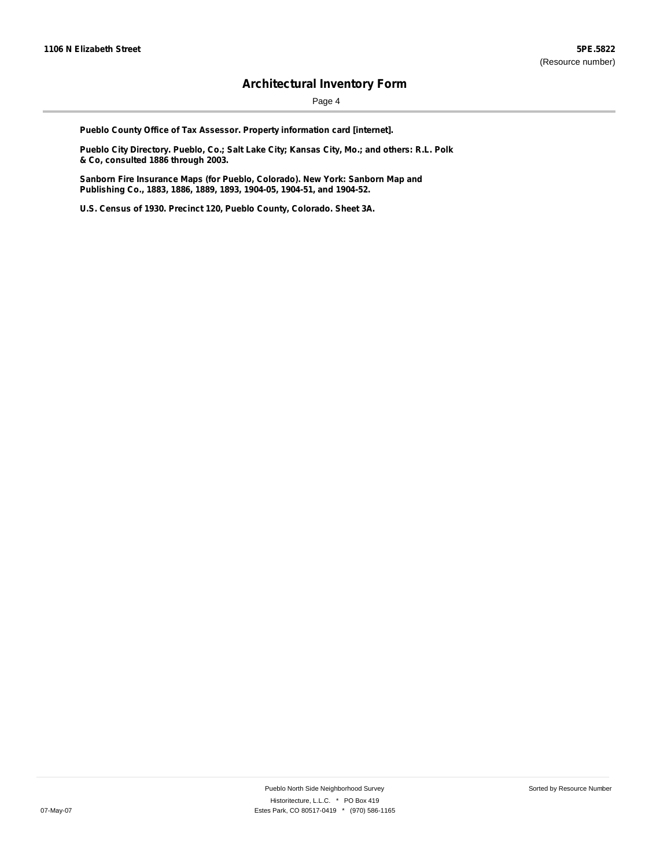Page 4

**Pueblo County Office of Tax Assessor. Property information card [internet].**

**Pueblo City Directory. Pueblo, Co.; Salt Lake City; Kansas City, Mo.; and others: R.L. Polk & Co, consulted 1886 through 2003.**

**Sanborn Fire Insurance Maps (for Pueblo, Colorado). New York: Sanborn Map and Publishing Co., 1883, 1886, 1889, 1893, 1904-05, 1904-51, and 1904-52.**

**U.S. Census of 1930. Precinct 120, Pueblo County, Colorado. Sheet 3A.**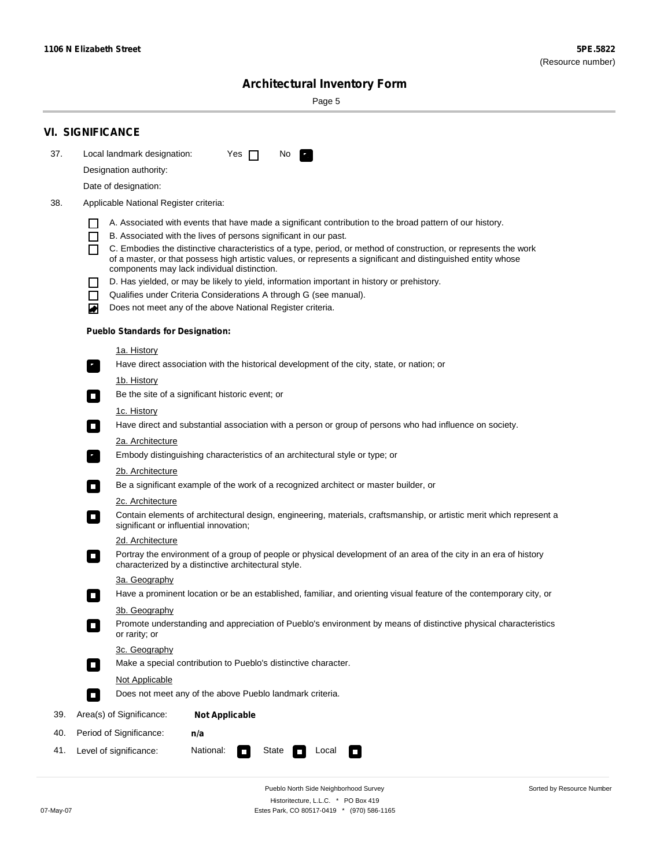Sorted by Resource Number

# **Architectural Inventory Form**

Page 5

|     | <b>VI. SIGNIFICANCE</b>                                                                                                                                                                                                                                                                                                                                                                                                                                                                                                                                                                                                                                                                                |
|-----|--------------------------------------------------------------------------------------------------------------------------------------------------------------------------------------------------------------------------------------------------------------------------------------------------------------------------------------------------------------------------------------------------------------------------------------------------------------------------------------------------------------------------------------------------------------------------------------------------------------------------------------------------------------------------------------------------------|
| 37. | Local landmark designation:<br>Yes $\Box$<br>No<br>$\mathbf{F}_{\mathbf{a}}$                                                                                                                                                                                                                                                                                                                                                                                                                                                                                                                                                                                                                           |
|     | Designation authority:                                                                                                                                                                                                                                                                                                                                                                                                                                                                                                                                                                                                                                                                                 |
|     | Date of designation:                                                                                                                                                                                                                                                                                                                                                                                                                                                                                                                                                                                                                                                                                   |
| 38. | Applicable National Register criteria:                                                                                                                                                                                                                                                                                                                                                                                                                                                                                                                                                                                                                                                                 |
|     | A. Associated with events that have made a significant contribution to the broad pattern of our history.<br>B. Associated with the lives of persons significant in our past.<br>C. Embodies the distinctive characteristics of a type, period, or method of construction, or represents the work<br>of a master, or that possess high artistic values, or represents a significant and distinguished entity whose<br>components may lack individual distinction.<br>D. Has yielded, or may be likely to yield, information important in history or prehistory.<br>Qualifies under Criteria Considerations A through G (see manual).<br>Does not meet any of the above National Register criteria.<br>₩ |
|     | <b>Pueblo Standards for Designation:</b>                                                                                                                                                                                                                                                                                                                                                                                                                                                                                                                                                                                                                                                               |
|     | 1a. History<br>Have direct association with the historical development of the city, state, or nation; or<br>$\overline{\phantom{a}}$ .<br>1b. History                                                                                                                                                                                                                                                                                                                                                                                                                                                                                                                                                  |
|     | Be the site of a significant historic event; or<br>$\mathcal{L}_{\mathcal{A}}$                                                                                                                                                                                                                                                                                                                                                                                                                                                                                                                                                                                                                         |
|     | <u>1c. History</u><br>Have direct and substantial association with a person or group of persons who had influence on society.<br>О                                                                                                                                                                                                                                                                                                                                                                                                                                                                                                                                                                     |
|     | 2a. Architecture<br>Embody distinguishing characteristics of an architectural style or type; or<br>$\mathbf{r}_i$                                                                                                                                                                                                                                                                                                                                                                                                                                                                                                                                                                                      |
|     | <u>2b. Architecture</u><br>Be a significant example of the work of a recognized architect or master builder, or<br>о                                                                                                                                                                                                                                                                                                                                                                                                                                                                                                                                                                                   |
|     | <b>2c. Architecture</b>                                                                                                                                                                                                                                                                                                                                                                                                                                                                                                                                                                                                                                                                                |
|     | Contain elements of architectural design, engineering, materials, craftsmanship, or artistic merit which represent a<br>о<br>significant or influential innovation;                                                                                                                                                                                                                                                                                                                                                                                                                                                                                                                                    |
|     | 2d. Architecture                                                                                                                                                                                                                                                                                                                                                                                                                                                                                                                                                                                                                                                                                       |
|     | Portray the environment of a group of people or physical development of an area of the city in an era of history<br>$\Box$<br>characterized by a distinctive architectural style.                                                                                                                                                                                                                                                                                                                                                                                                                                                                                                                      |
|     | 3a. Geography                                                                                                                                                                                                                                                                                                                                                                                                                                                                                                                                                                                                                                                                                          |
|     | Have a prominent location or be an established, familiar, and orienting visual feature of the contemporary city, or<br>п                                                                                                                                                                                                                                                                                                                                                                                                                                                                                                                                                                               |
|     | 3b. Geography                                                                                                                                                                                                                                                                                                                                                                                                                                                                                                                                                                                                                                                                                          |
|     | Promote understanding and appreciation of Pueblo's environment by means of distinctive physical characteristics<br>П<br>or rarity; or                                                                                                                                                                                                                                                                                                                                                                                                                                                                                                                                                                  |
|     | 3c. Geography<br>Make a special contribution to Pueblo's distinctive character.<br>$\overline{\phantom{a}}$                                                                                                                                                                                                                                                                                                                                                                                                                                                                                                                                                                                            |
|     | Not Applicable                                                                                                                                                                                                                                                                                                                                                                                                                                                                                                                                                                                                                                                                                         |
|     | Does not meet any of the above Pueblo landmark criteria.<br>п                                                                                                                                                                                                                                                                                                                                                                                                                                                                                                                                                                                                                                          |
| 39. | Area(s) of Significance:<br><b>Not Applicable</b>                                                                                                                                                                                                                                                                                                                                                                                                                                                                                                                                                                                                                                                      |
| 40. | Period of Significance:<br>n/a                                                                                                                                                                                                                                                                                                                                                                                                                                                                                                                                                                                                                                                                         |
| 41. | National:<br>State<br>Level of significance:<br>Local<br>$\mathcal{L}$<br>$\sim$<br>$\mathcal{L}$                                                                                                                                                                                                                                                                                                                                                                                                                                                                                                                                                                                                      |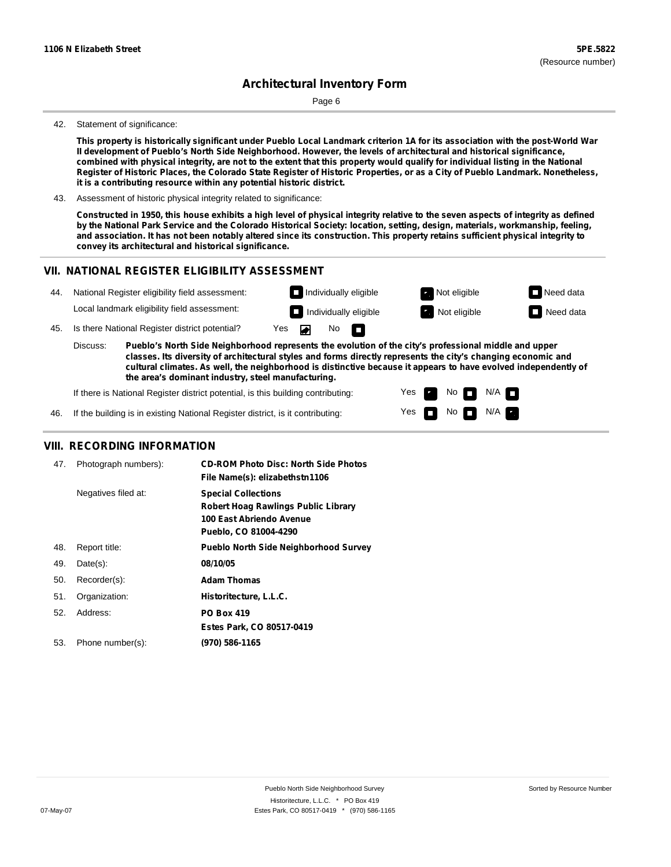Page 6

#### 42. Statement of significance:

This property is historically significant under Pueblo Local Landmark criterion 1A for its association with the post-World War **II development of Pueblo's North Side Neighborhood. However, the levels of architectural and historical significance,** combined with physical integrity, are not to the extent that this property would qualify for individual listing in the National Register of Historic Places, the Colorado State Register of Historic Properties, or as a City of Pueblo Landmark. Nonetheless, **it is a contributing resource within any potential historic district.**

43. Assessment of historic physical integrity related to significance:

Constructed in 1950, this house exhibits a high level of physical integrity relative to the seven aspects of integrity as defined by the National Park Service and the Colorado Historical Society: location, setting, design, materials, workmanship, feeling, and association. It has not been notably altered since its construction. This property retains sufficient physical integrity to **convey its architectural and historical significance.**

#### **VII. NATIONAL REGISTER ELIGIBILITY ASSESSMENT**



Yes Yes No

No  $\blacksquare$  N/A

 $N/A$ 

**cultural climates. As well, the neighborhood is distinctive because it appears to have evolved independently of the area's dominant industry, steel manufacturing.**

If there is National Register district potential, is this building contributing:

If the building is in existing National Register district, is it contributing: 46.

#### **VIII. RECORDING INFORMATION**

| 47. | Photograph numbers): | <b>CD-ROM Photo Disc: North Side Photos</b><br>File Name(s): elizabethstn1106                                          |
|-----|----------------------|------------------------------------------------------------------------------------------------------------------------|
|     | Negatives filed at:  | <b>Special Collections</b><br>Robert Hoag Rawlings Public Library<br>100 East Abriendo Avenue<br>Pueblo, CO 81004-4290 |
| 48. | Report title:        | <b>Pueblo North Side Neighborhood Survey</b>                                                                           |
| 49. | $Date(s)$ :          | 08/10/05                                                                                                               |
| 50. | Recorder(s):         | <b>Adam Thomas</b>                                                                                                     |
| 51. | Organization:        | Historitecture, L.L.C.                                                                                                 |
| 52. | Address:             | <b>PO Box 419</b>                                                                                                      |
|     |                      | Estes Park, CO 80517-0419                                                                                              |
| 53. | Phone number(s):     | (970) 586-1165                                                                                                         |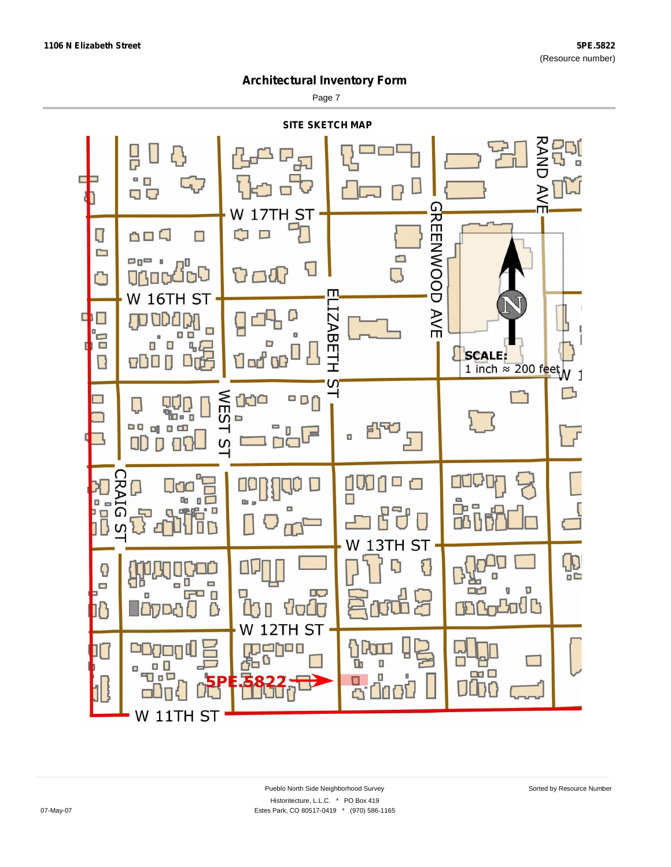Page 7